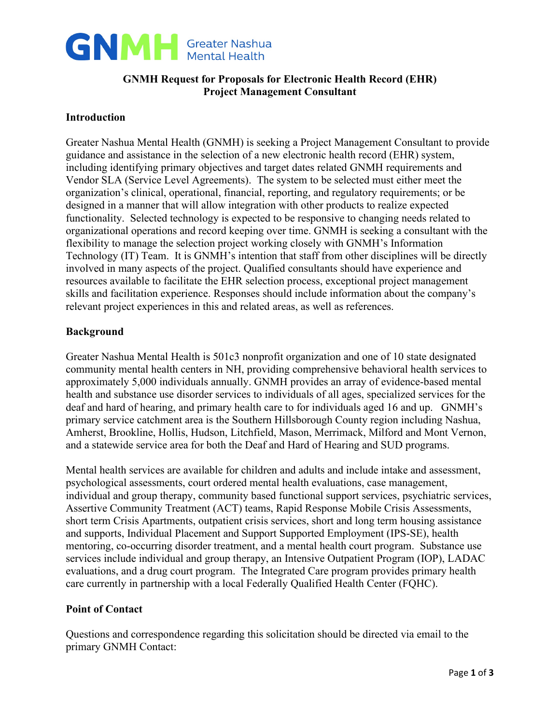

# **GNMH Request for Proposals for Electronic Health Record (EHR) Project Management Consultant**

### **Introduction**

Greater Nashua Mental Health (GNMH) is seeking a Project Management Consultant to provide guidance and assistance in the selection of a new electronic health record (EHR) system, including identifying primary objectives and target dates related GNMH requirements and Vendor SLA (Service Level Agreements). The system to be selected must either meet the organization's clinical, operational, financial, reporting, and regulatory requirements; or be designed in a manner that will allow integration with other products to realize expected functionality. Selected technology is expected to be responsive to changing needs related to organizational operations and record keeping over time. GNMH is seeking a consultant with the flexibility to manage the selection project working closely with GNMH's Information Technology (IT) Team. It is GNMH's intention that staff from other disciplines will be directly involved in many aspects of the project. Qualified consultants should have experience and resources available to facilitate the EHR selection process, exceptional project management skills and facilitation experience. Responses should include information about the company's relevant project experiences in this and related areas, as well as references.

# **Background**

Greater Nashua Mental Health is 501c3 nonprofit organization and one of 10 state designated community mental health centers in NH, providing comprehensive behavioral health services to approximately 5,000 individuals annually. GNMH provides an array of evidence-based mental health and substance use disorder services to individuals of all ages, specialized services for the deaf and hard of hearing, and primary health care to for individuals aged 16 and up. GNMH's primary service catchment area is the Southern Hillsborough County region including Nashua, Amherst, Brookline, Hollis, Hudson, Litchfield, Mason, Merrimack, Milford and Mont Vernon, and a statewide service area for both the Deaf and Hard of Hearing and SUD programs.

Mental health services are available for children and adults and include intake and assessment, psychological assessments, court ordered mental health evaluations, case management, individual and group therapy, community based functional support services, psychiatric services, Assertive Community Treatment (ACT) teams, Rapid Response Mobile Crisis Assessments, short term Crisis Apartments, outpatient crisis services, short and long term housing assistance and supports, Individual Placement and Support Supported Employment (IPS-SE), health mentoring, co-occurring disorder treatment, and a mental health court program. Substance use services include individual and group therapy, an Intensive Outpatient Program (IOP), LADAC evaluations, and a drug court program. The Integrated Care program provides primary health care currently in partnership with a local Federally Qualified Health Center (FQHC).

### **Point of Contact**

Questions and correspondence regarding this solicitation should be directed via email to the primary GNMH Contact: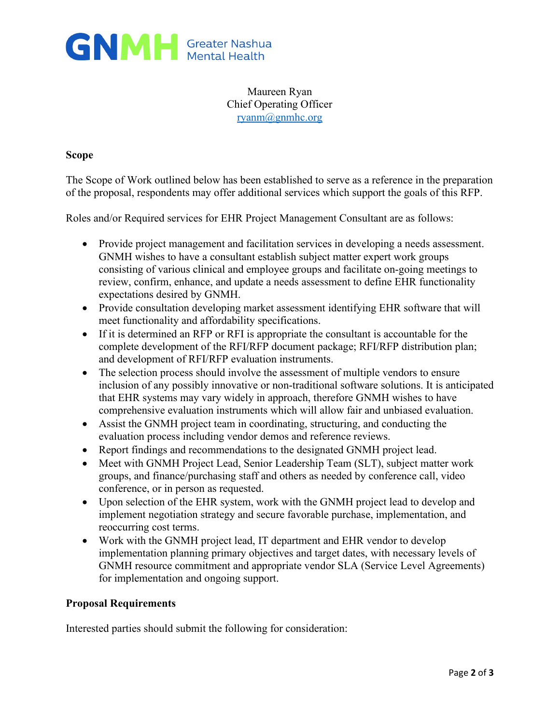

Maureen Ryan Chief Operating Officer [ryanm@gnmhc.org](mailto:ryanm@gnmhc.org)

### **Scope**

The Scope of Work outlined below has been established to serve as a reference in the preparation of the proposal, respondents may offer additional services which support the goals of this RFP.

Roles and/or Required services for EHR Project Management Consultant are as follows:

- Provide project management and facilitation services in developing a needs assessment. GNMH wishes to have a consultant establish subject matter expert work groups consisting of various clinical and employee groups and facilitate on-going meetings to review, confirm, enhance, and update a needs assessment to define EHR functionality expectations desired by GNMH.
- Provide consultation developing market assessment identifying EHR software that will meet functionality and affordability specifications.
- If it is determined an RFP or RFI is appropriate the consultant is accountable for the complete development of the RFI/RFP document package; RFI/RFP distribution plan; and development of RFI/RFP evaluation instruments.
- The selection process should involve the assessment of multiple vendors to ensure inclusion of any possibly innovative or non-traditional software solutions. It is anticipated that EHR systems may vary widely in approach, therefore GNMH wishes to have comprehensive evaluation instruments which will allow fair and unbiased evaluation.
- Assist the GNMH project team in coordinating, structuring, and conducting the evaluation process including vendor demos and reference reviews.
- Report findings and recommendations to the designated GNMH project lead.
- Meet with GNMH Project Lead, Senior Leadership Team (SLT), subject matter work groups, and finance/purchasing staff and others as needed by conference call, video conference, or in person as requested.
- Upon selection of the EHR system, work with the GNMH project lead to develop and implement negotiation strategy and secure favorable purchase, implementation, and reoccurring cost terms.
- Work with the GNMH project lead, IT department and EHR vendor to develop implementation planning primary objectives and target dates, with necessary levels of GNMH resource commitment and appropriate vendor SLA (Service Level Agreements) for implementation and ongoing support.

### **Proposal Requirements**

Interested parties should submit the following for consideration: